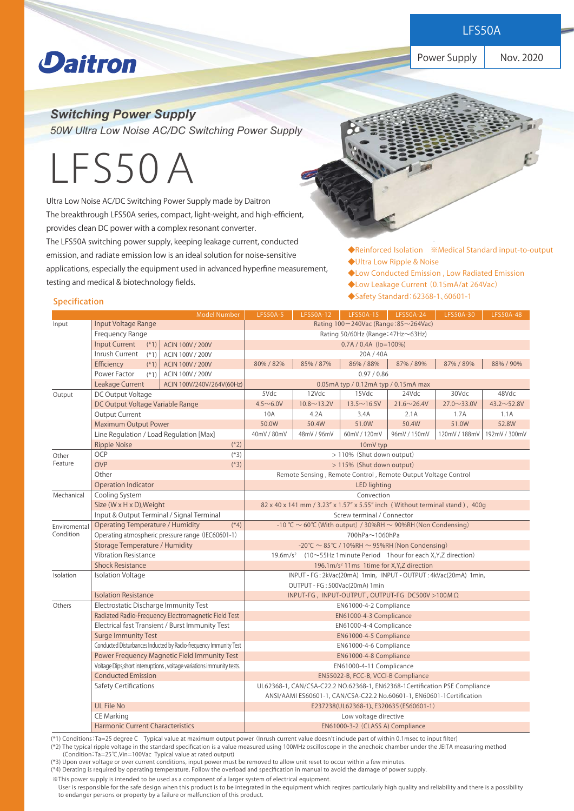**Power Supply Products** 

Power Supply | Nov. 2020

## **Daitron**

*Switching Power Supply* 

*50W Ultra Low Noise AC/DC Switching Power Supply* 

# LFS50A

Ultra Low Noise AC/DC Switching Power Supply made by Daitron The breakthrough LFS50A series, compact, light-weight, and high-efficient, provides clean DC power with a complex resonant converter. The LFS50A switching power supply, keeping leakage current, conducted emission, and radiate emission low is an ideal solution for noise-sensitive applications, especially the equipment used in advanced hyperfine measurement, testing and medical & biotechnology fields.

◆Reinforced Isolation ※Medical Standard input-to-output ◆Ultra Low Ripple & Noise

- ◆Low Conducted Emission , Low Radiated Emission
- ◆Low Leakage Current (0.15mA/at 264Vac)
- ◆Safety Standard:62368-1、60601-1 Specification

|                           |                                                                       | <b>Model Number</b>                                               | <b>LFS50A-5</b>                                                                        | LFS50A-12         | LFS50A-15         | LFS50A-24          | LFS50A-30          | LFS50A-48         |  |
|---------------------------|-----------------------------------------------------------------------|-------------------------------------------------------------------|----------------------------------------------------------------------------------------|-------------------|-------------------|--------------------|--------------------|-------------------|--|
| Input                     | Input Voltage Range                                                   |                                                                   | Rating 100-240Vac (Range: 85~264Vac)                                                   |                   |                   |                    |                    |                   |  |
|                           | Frequency Range                                                       |                                                                   | Rating 50/60Hz (Range: 47Hz~63Hz)                                                      |                   |                   |                    |                    |                   |  |
|                           | <b>Input Current</b><br>$(*1)$<br>ACIN 100V / 200V                    |                                                                   | $0.7A / 0.4A$ (lo=100%)                                                                |                   |                   |                    |                    |                   |  |
|                           | Inrush Current<br>$(*1)$                                              | ACIN 100V / 200V                                                  |                                                                                        |                   | 20A / 40A         |                    |                    |                   |  |
|                           | Efficiency<br>$(*1)$                                                  | ACIN 100V / 200V                                                  | 80% / 82%                                                                              | 85% / 87%         | 86% / 88%         | 87% / 89%          | 87% / 89%          | 88% / 90%         |  |
|                           | Power Factor<br>$(*1)$                                                | ACIN 100V / 200V                                                  | 0.97 / 0.86                                                                            |                   |                   |                    |                    |                   |  |
|                           | <b>Leakage Current</b>                                                | 0.05mA typ / 0.12mA typ / 0.15mA max<br>ACIN 100V/240V/264V(60Hz) |                                                                                        |                   |                   |                    |                    |                   |  |
| Output                    | DC Output Voltage                                                     |                                                                   | 5Vdc                                                                                   | 12Vdc             | 15Vdc             | 24Vdc              | 30Vdc              | 48Vdc             |  |
|                           | DC Output Voltage Variable Range                                      |                                                                   | $4.5 - 6.0V$                                                                           | $10.8 \sim 13.2V$ | $13.5 \sim 16.5V$ | $21.6 \sim 26.4 V$ | $27.0 \sim 33.0 V$ | $43.2 \sim 52.8V$ |  |
|                           | Output Current                                                        |                                                                   | 10A                                                                                    | 4.2A              | 3.4A              | 2.1A               | 1.7A               | 1.1A              |  |
|                           | <b>Maximum Output Power</b>                                           |                                                                   | 50.0W                                                                                  | 50.4W             | 51.0W             | 50.4W              | 51.0W              | 52.8W             |  |
|                           | Line Regulation / Load Regulation [Max]                               |                                                                   | 40mV / 80mV                                                                            | 48mV / 96mV       | 60mV / 120mV      | 96mV / 150mV       | 120mV / 188mV      | 192mV / 300mV     |  |
|                           | <b>Ripple Noise</b><br>$(*2)$                                         |                                                                   | 10mV typ                                                                               |                   |                   |                    |                    |                   |  |
| Other                     | <b>OCP</b>                                                            | $(*3)$<br>> 110% (Shut down output)                               |                                                                                        |                   |                   |                    |                    |                   |  |
| Feature                   | <b>OVP</b><br>$(*3)$                                                  |                                                                   | > 115% (Shut down output)                                                              |                   |                   |                    |                    |                   |  |
|                           | Other                                                                 |                                                                   | Remote Sensing, Remote Control, Remote Output Voltage Control                          |                   |                   |                    |                    |                   |  |
|                           | <b>Operation Indicator</b>                                            |                                                                   | <b>LED lighting</b>                                                                    |                   |                   |                    |                    |                   |  |
| Mechanical                | Cooling System                                                        |                                                                   | Convection                                                                             |                   |                   |                    |                    |                   |  |
|                           | Size (W x H x D), Weight                                              |                                                                   | 82 x 40 x 141 mm / 3.23" x 1.57" x 5.55" inch (Without terminal stand), 400g           |                   |                   |                    |                    |                   |  |
|                           | Input & Output Terminal / Signal Terminal                             |                                                                   | Screw terminal / Connector                                                             |                   |                   |                    |                    |                   |  |
| Enviromental<br>Condition | <b>Operating Temperature / Humidity</b><br>$(*4)$                     |                                                                   | -10 °C $\sim$ 60°C (With output) / 30%RH $\sim$ 90%RH (Non Condensing)                 |                   |                   |                    |                    |                   |  |
|                           | Operating atmospheric pressure range (IEC60601-1)                     |                                                                   | 700hPa~1060hPa                                                                         |                   |                   |                    |                    |                   |  |
|                           | <b>Storage Temperature / Humidity</b>                                 |                                                                   | $-20^{\circ}$ C ~ 85 $^{\circ}$ C / 10%RH ~ 95%RH (Non Condensing)                     |                   |                   |                    |                    |                   |  |
|                           | <b>Vibration Resistance</b>                                           |                                                                   | 19.6m/s <sup>2</sup> $(10\sim55$ Hz 1 minute Period 1 hour for each X, Y, Z direction) |                   |                   |                    |                    |                   |  |
|                           | <b>Shock Resistance</b>                                               |                                                                   | 196.1m/s <sup>2</sup> 11ms 1time for X, Y, Z direction                                 |                   |                   |                    |                    |                   |  |
| Isolation                 | <b>Isolation Voltage</b>                                              |                                                                   | INPUT - FG: 2kVac(20mA) 1min, INPUT - OUTPUT: 4kVac(20mA) 1min,                        |                   |                   |                    |                    |                   |  |
|                           |                                                                       |                                                                   | OUTPUT - FG: 500Vac(20mA) 1min                                                         |                   |                   |                    |                    |                   |  |
|                           | <b>Isolation Resistance</b>                                           |                                                                   | INPUT-FG, INPUT-OUTPUT, OUTPUT-FG DC500V > 100 M $\Omega$                              |                   |                   |                    |                    |                   |  |
| Others                    | Electrostatic Discharge Immunity Test                                 |                                                                   | EN61000-4-2 Compliance                                                                 |                   |                   |                    |                    |                   |  |
|                           | Radiated Radio-Frequency Electromagnetic Field Test                   |                                                                   | EN61000-4-3 Complicance                                                                |                   |                   |                    |                    |                   |  |
|                           | Electrical fast Transient / Burst Immunity Test                       |                                                                   | EN61000-4-4 Complicance                                                                |                   |                   |                    |                    |                   |  |
|                           | <b>Surge Immunity Test</b>                                            |                                                                   | EN61000-4-5 Compliance                                                                 |                   |                   |                    |                    |                   |  |
|                           | Conducted Disturbances Inducted by Radio-frequency Immunity Test      |                                                                   | EN61000-4-6 Compliance                                                                 |                   |                   |                    |                    |                   |  |
|                           | Power Frequency Magnetic Field Immunity Test                          |                                                                   | EN61000-4-8 Compliance                                                                 |                   |                   |                    |                    |                   |  |
|                           | Voltage Dips, short interruptions, voltage variations immunity tests. |                                                                   | EN61000-4-11 Complicance                                                               |                   |                   |                    |                    |                   |  |
|                           | <b>Conducted Emission</b>                                             |                                                                   | EN55022-B, FCC-B, VCCI-B Compliance                                                    |                   |                   |                    |                    |                   |  |
|                           | Safety Certifications                                                 |                                                                   | UL62368-1, CAN/CSA-C22.2 NO.62368-1, EN62368-1Certification PSE Compliance             |                   |                   |                    |                    |                   |  |
|                           |                                                                       |                                                                   | ANSI/AAMI ES60601-1, CAN/CSA-C22.2 No.60601-1, EN60601-1Certification                  |                   |                   |                    |                    |                   |  |
|                           | <b>UL File No</b>                                                     |                                                                   | E237238(UL62368-1), E320635 (ES60601-1)                                                |                   |                   |                    |                    |                   |  |
|                           | <b>CE Marking</b>                                                     |                                                                   | Low voltage directive                                                                  |                   |                   |                    |                    |                   |  |
|                           | <b>Harmonic Current Characteristics</b>                               |                                                                   | EN61000-3-2 (CLASS A) Compliance                                                       |                   |                   |                    |                    |                   |  |

(\*1) Conditions:Ta=25 degree C Typical value at maximum output power (Inrush current value doesn't include part of within 0.1msec to input filter) (\*2) The typical ripple voltage in the standard specification is a value measured using 100MHz oscilloscope in the anechoic chamber under the JEITA measuring method

(Condition:Ta=25℃,Vin=100Vac Typical value at rated output)

(\*3) Upon over voltage or over current conditions, input power must be removed to allow unit reset to occur within a few minutes.

(\*4) Derating is required by operating temperature. Follow the overload and specification in manual to avoid the damage of power supply.

※This power supply is intended to be used as a component of a larger system of electrical equipment.

 User is responsible for the safe design when this product is to be integrated in the equipment which reqires particularly high quality and reliability and there is a possibility to endanger persons or property by a failure or malfunction of this product.